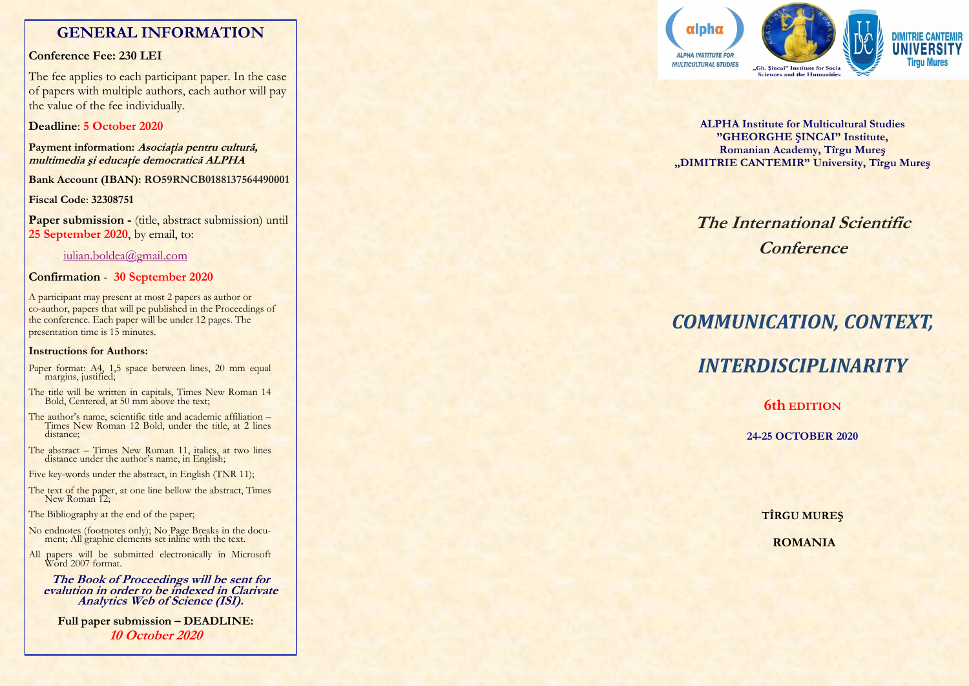# **GENERAL INFORMATION**

# **Conference Fee: 230 LEI**

The fee applies to each participant paper. In the case of papers with multiple authors, each author will pay the value of the fee individually.

# **Deadline**: **5 October 2020**

**Payment information: Asociaţia pentru cultură, multimedia şi educaţie democratică ALPHA**

**Bank Account (IBAN): RO59RNCB0188137564490001**

**Fiscal Code**: **32308751**

Paper submission - (title, abstract submission) until **25 September 2020** , by email, to:

## iulian.boldea@gmail.com

# **Confirmation** - **30 September 2020**

A participant may present at most 2 papers as author or co -author, papers that will pe published in the Proceedings of the conference. Each paper will be under 12 pages. The presentation time is 15 minutes.

## **Instructions for Authors:**

- Paper format: A4, 1,5 space between lines, 20 mm equal margins, justified;
- The title will be written in capitals, Times New Roman 14 Bold, Centered, at 50 mm above the text;
- The author's name, scientific title and academic affiliation Times New Roman 12 Bold, under the title, at 2 lines distance;
- The abstract Times New Roman 11, italics, at two lines distance under the author's name, in English;
- Five key -words under the abstract, in English (TNR 11);
- The text of the paper, at one line bellow the abstract, Times New Roman 12;

The Bibliography at the end of the paper;

- No endnotes (footnotes only); No Page Breaks in the document; All graphic elements set inline with the text.
- All papers will be submitted electronically in Microsoft Word 2007 format.

**The Book of Proceedings will be sent for evalution in order to be indexed in Clarivate Analytics Web of Science (ISI).** 

**Full paper submission – DEADLINE: 10 October 2020**



**ALPHA Institute for Multicultural Studies "GHEORGHE ŞINCAI" Institute, Romanian Academy, Tîrgu Mureş "DIMITRIE CANTEMIR" University, Tîrgu Mureş**

# **The International Scientific Conference**

# *COMMUNICATION, CONTEXT,*

# *INTERDISCIPLINARITY*

**6th EDITION**

**24 -25 OCTOBER 2020**

**TÎRGU MUREŞ**

**ROMANIA**